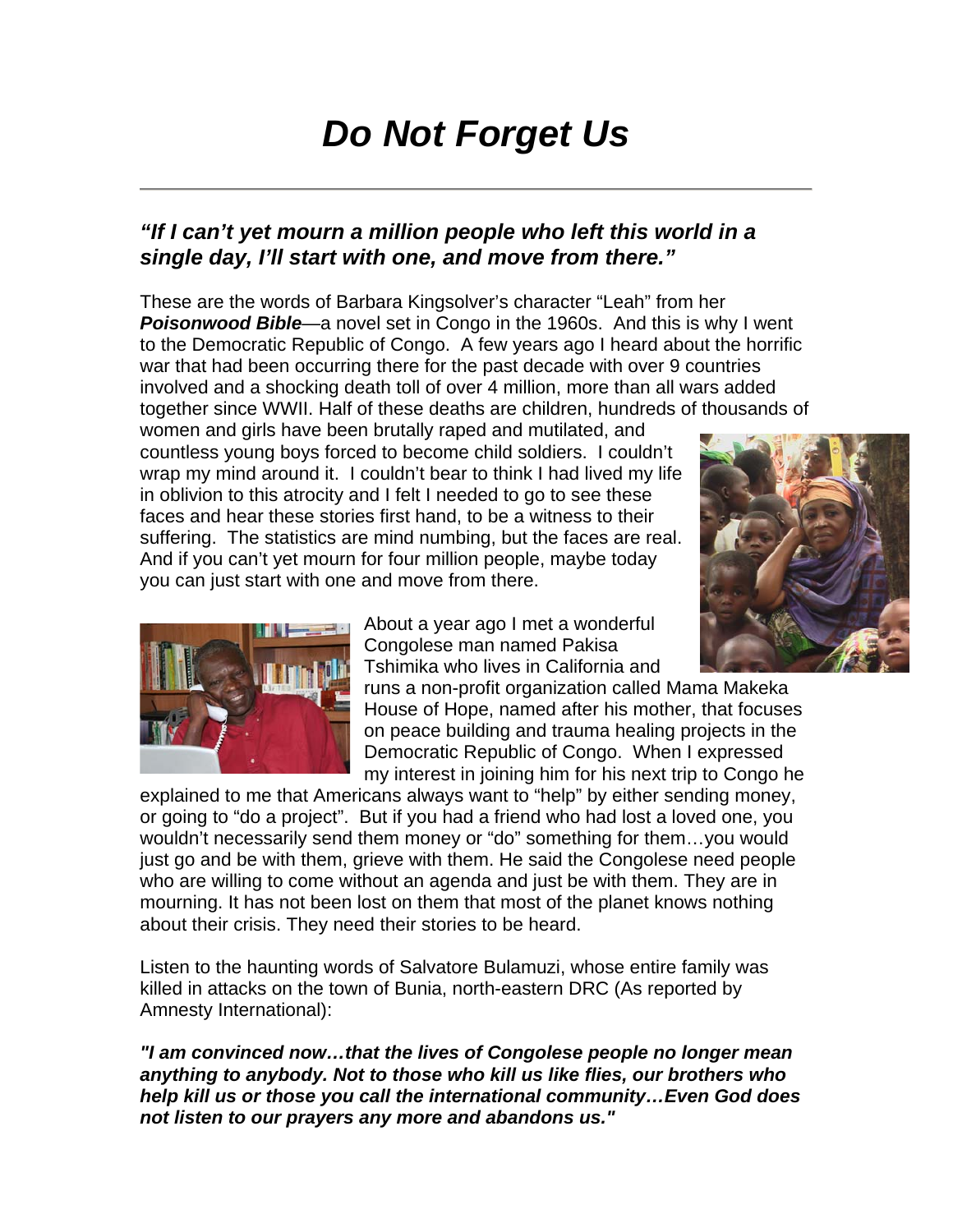## *Do Not Forget Us*

## *"If I can't yet mourn a million people who left this world in a single day, I'll start with one, and move from there."*

These are the words of Barbara Kingsolver's character "Leah" from her **Poisonwood Bible—a** novel set in Congo in the 1960s. And this is why I went to the Democratic Republic of Congo. A few years ago I heard about the horrific war that had been occurring there for the past decade with over 9 countries involved and a shocking death toll of over 4 million, more than all wars added together since WWII. Half of these deaths are children, hundreds of thousands of

women and girls have been brutally raped and mutilated, and countless young boys forced to become child soldiers. I couldn't wrap my mind around it. I couldn't bear to think I had lived my life in oblivion to this atrocity and I felt I needed to go to see these faces and hear these stories first hand, to be a witness to their suffering. The statistics are mind numbing, but the faces are real. And if you can't yet mourn for four million people, maybe today you can just start with one and move from there.





About a year ago I met a wonderful Congolese man named Pakisa Tshimika who lives in California and

runs a non-profit organization called Mama Makeka House of Hope, named after his mother, that focuses on peace building and trauma healing projects in the Democratic Republic of Congo. When I expressed my interest in joining him for his next trip to Congo he

explained to me that Americans always want to "help" by either sending money, or going to "do a project". But if you had a friend who had lost a loved one, you wouldn't necessarily send them money or "do" something for them…you would just go and be with them, grieve with them. He said the Congolese need people who are willing to come without an agenda and just be with them. They are in mourning. It has not been lost on them that most of the planet knows nothing about their crisis. They need their stories to be heard.

Listen to the haunting words of Salvatore Bulamuzi, whose entire family was killed in attacks on the town of Bunia, north-eastern DRC (As reported by Amnesty International):

*"I am convinced now…that the lives of Congolese people no longer mean anything to anybody. Not to those who kill us like flies, our brothers who help kill us or those you call the international community…Even God does not listen to our prayers any more and abandons us."*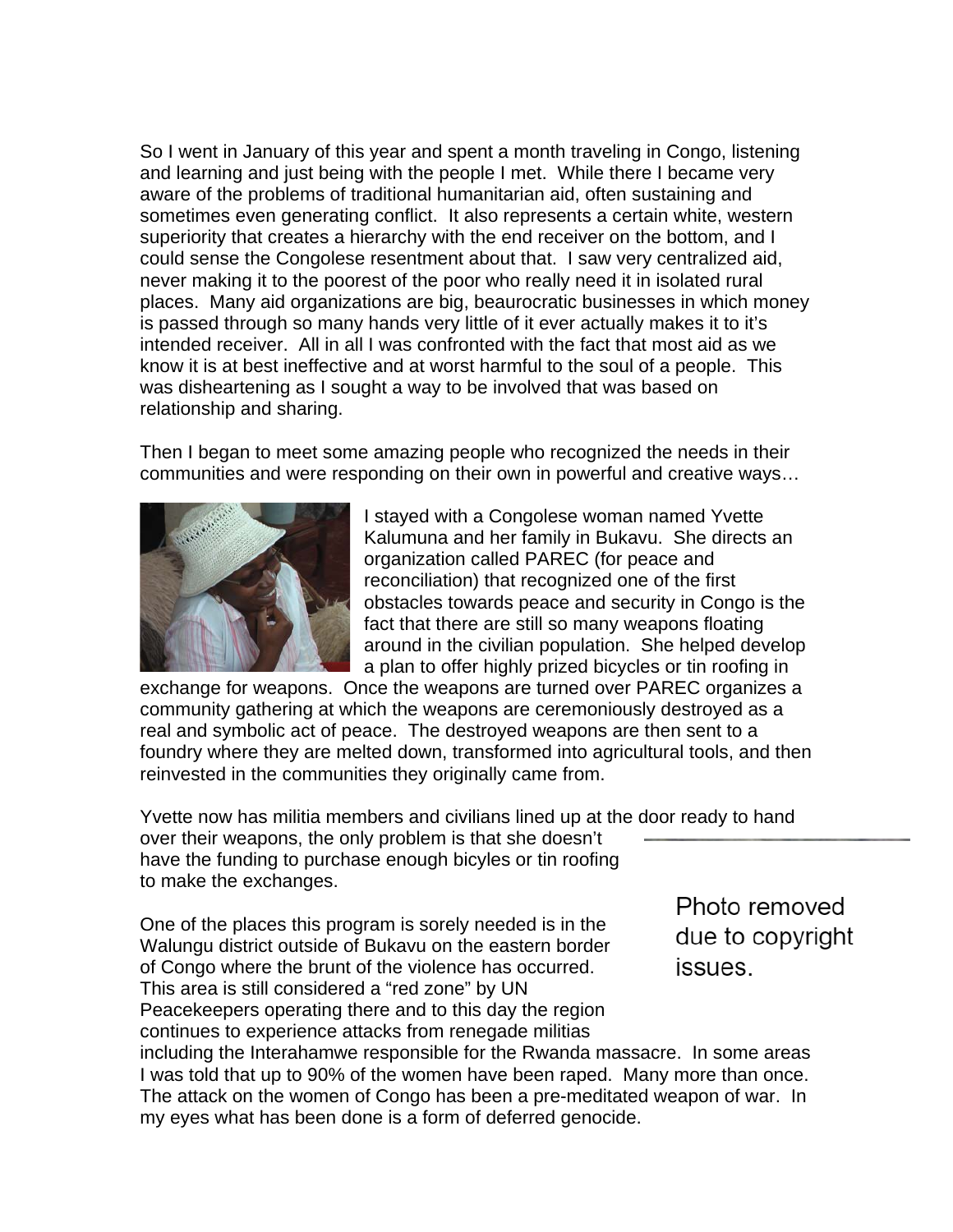So I went in January of this year and spent a month traveling in Congo, listening and learning and just being with the people I met. While there I became very aware of the problems of traditional humanitarian aid, often sustaining and sometimes even generating conflict. It also represents a certain white, western superiority that creates a hierarchy with the end receiver on the bottom, and I could sense the Congolese resentment about that. I saw very centralized aid, never making it to the poorest of the poor who really need it in isolated rural places. Many aid organizations are big, beaurocratic businesses in which money is passed through so many hands very little of it ever actually makes it to it's intended receiver. All in all I was confronted with the fact that most aid as we know it is at best ineffective and at worst harmful to the soul of a people. This was disheartening as I sought a way to be involved that was based on relationship and sharing.

Then I began to meet some amazing people who recognized the needs in their communities and were responding on their own in powerful and creative ways…



I stayed with a Congolese woman named Yvette Kalumuna and her family in Bukavu. She directs an organization called PAREC (for peace and reconciliation) that recognized one of the first obstacles towards peace and security in Congo is the fact that there are still so many weapons floating around in the civilian population. She helped develop a plan to offer highly prized bicycles or tin roofing in

exchange for weapons. Once the weapons are turned over PAREC organizes a community gathering at which the weapons are ceremoniously destroyed as a real and symbolic act of peace. The destroyed weapons are then sent to a foundry where they are melted down, transformed into agricultural tools, and then reinvested in the communities they originally came from.

Yvette now has militia members and civilians lined up at the door ready to hand over their weapons, the only problem is that she doesn't have the funding to purchase enough bicyles or tin roofing to make the exchanges.

One of the places this program is sorely needed is in the Walungu district outside of Bukavu on the eastern border of Congo where the brunt of the violence has occurred. This area is still considered a "red zone" by UN Peacekeepers operating there and to this day the region continues to experience attacks from renegade militias including the Interahamwe responsible for the Rwanda massacre. In some areas I was told that up to 90% of the women have been raped. Many more than once. The attack on the women of Congo has been a pre-meditated weapon of war. In

my eyes what has been done is a form of deferred genocide.

Photo removed due to copyright issues.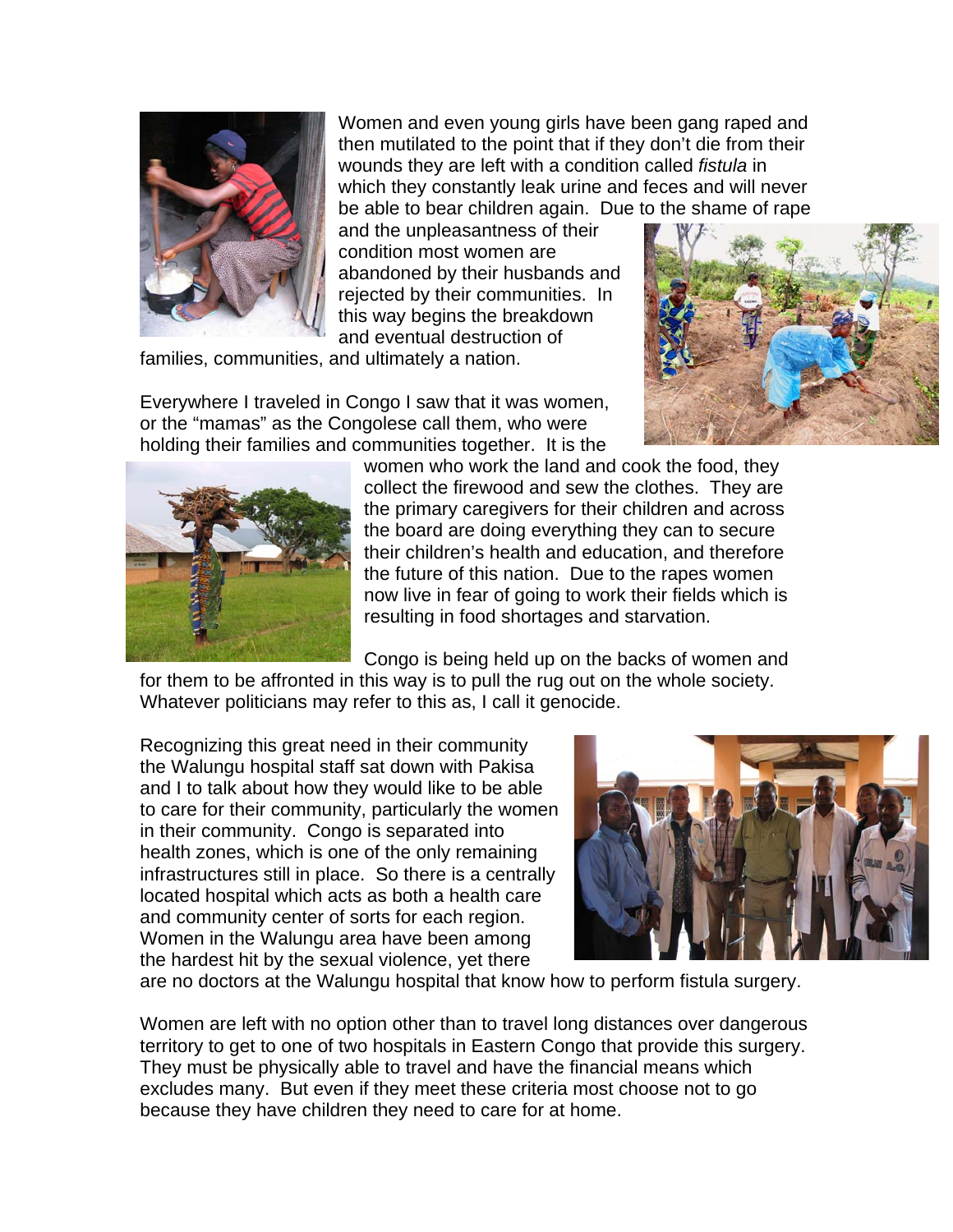

Women and even young girls have been gang raped and then mutilated to the point that if they don't die from their wounds they are left with a condition called *fistula* in which they constantly leak urine and feces and will never be able to bear children again. Due to the shame of rape

and the unpleasantness of their condition most women are abandoned by their husbands and rejected by their communities. In this way begins the breakdown and eventual destruction of

families, communities, and ultimately a nation.

Everywhere I traveled in Congo I saw that it was women, or the "mamas" as the Congolese call them, who were holding their families and communities together. It is the





women who work the land and cook the food, they collect the firewood and sew the clothes. They are the primary caregivers for their children and across the board are doing everything they can to secure their children's health and education, and therefore the future of this nation. Due to the rapes women now live in fear of going to work their fields which is resulting in food shortages and starvation.

Congo is being held up on the backs of women and

for them to be affronted in this way is to pull the rug out on the whole society. Whatever politicians may refer to this as, I call it genocide.

Recognizing this great need in their community the Walungu hospital staff sat down with Pakisa and I to talk about how they would like to be able to care for their community, particularly the women in their community. Congo is separated into health zones, which is one of the only remaining infrastructures still in place. So there is a centrally located hospital which acts as both a health care and community center of sorts for each region. Women in the Walungu area have been among the hardest hit by the sexual violence, yet there



are no doctors at the Walungu hospital that know how to perform fistula surgery.

Women are left with no option other than to travel long distances over dangerous territory to get to one of two hospitals in Eastern Congo that provide this surgery. They must be physically able to travel and have the financial means which excludes many. But even if they meet these criteria most choose not to go because they have children they need to care for at home.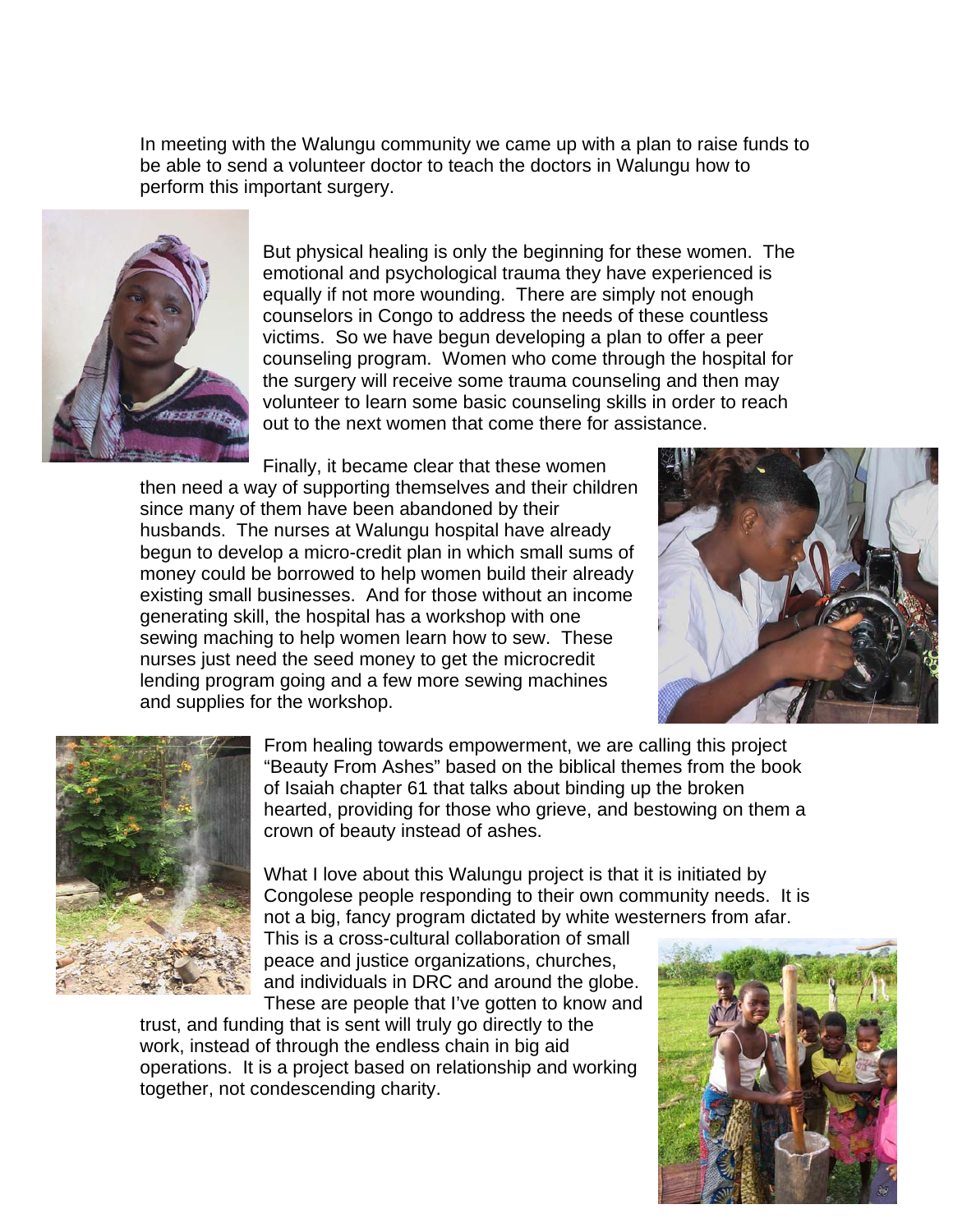In meeting with the Walungu community we came up with a plan to raise funds to be able to send a volunteer doctor to teach the doctors in Walungu how to perform this important surgery.



But physical healing is only the beginning for these women. The emotional and psychological trauma they have experienced is equally if not more wounding. There are simply not enough counselors in Congo to address the needs of these countless victims. So we have begun developing a plan to offer a peer counseling program. Women who come through the hospital for the surgery will receive some trauma counseling and then may volunteer to learn some basic counseling skills in order to reach out to the next women that come there for assistance.

Finally, it became clear that these women then need a way of supporting themselves and their children since many of them have been abandoned by their husbands. The nurses at Walungu hospital have already begun to develop a micro-credit plan in which small sums of money could be borrowed to help women build their already existing small businesses. And for those without an income generating skill, the hospital has a workshop with one sewing maching to help women learn how to sew. These nurses just need the seed money to get the microcredit lending program going and a few more sewing machines and supplies for the workshop.





From healing towards empowerment, we are calling this project "Beauty From Ashes" based on the biblical themes from the book of Isaiah chapter 61 that talks about binding up the broken hearted, providing for those who grieve, and bestowing on them a crown of beauty instead of ashes.

What I love about this Walungu project is that it is initiated by Congolese people responding to their own community needs. It is not a big, fancy program dictated by white westerners from afar.

This is a cross-cultural collaboration of small peace and justice organizations, churches, and individuals in DRC and around the globe. These are people that I've gotten to know and

trust, and funding that is sent will truly go directly to the work, instead of through the endless chain in big aid operations. It is a project based on relationship and working together, not condescending charity.

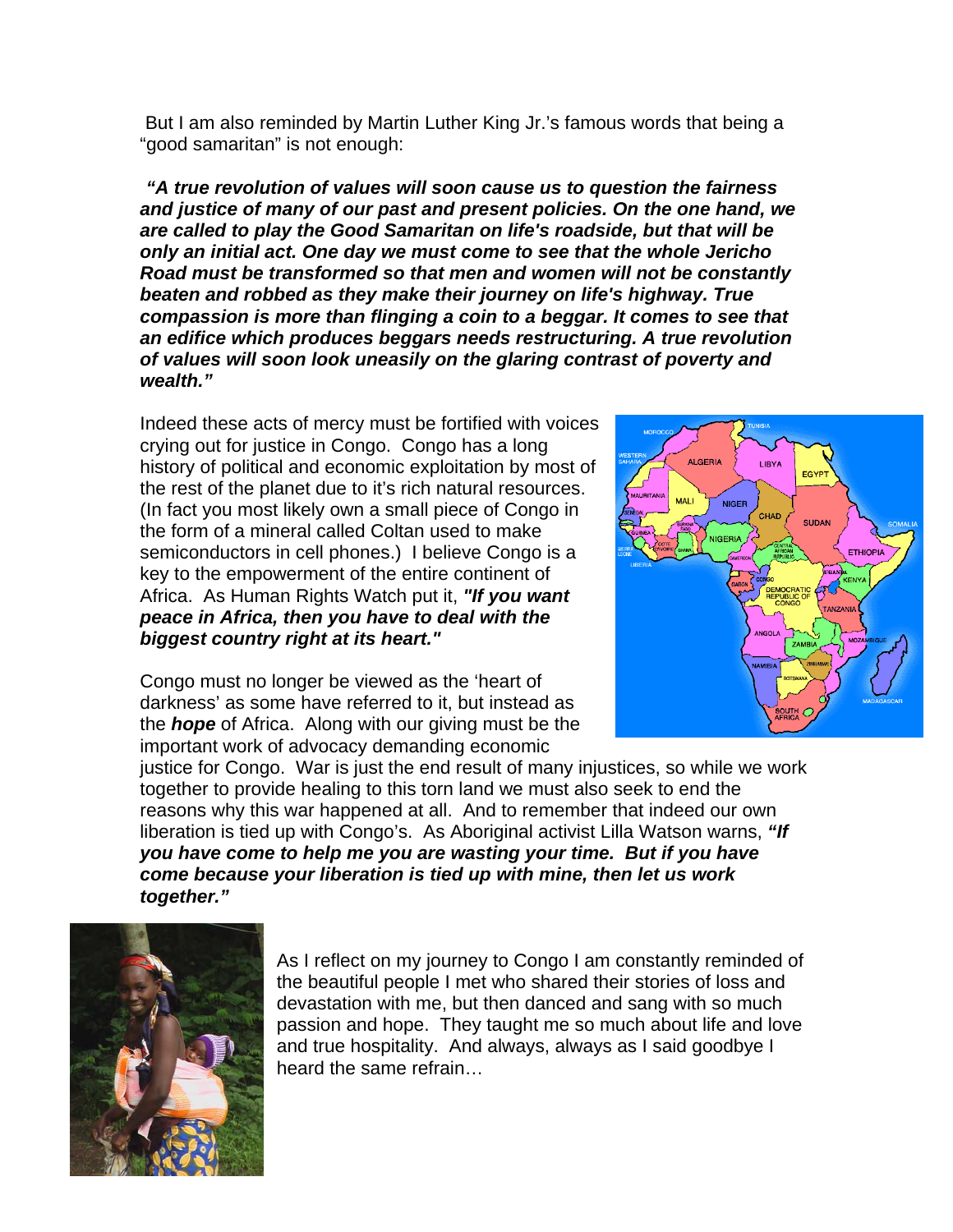But I am also reminded by Martin Luther King Jr.'s famous words that being a "good samaritan" is not enough:

*"A true revolution of values will soon cause us to question the fairness and justice of many of our past and present policies. On the one hand, we are called to play the Good Samaritan on life's roadside, but that will be only an initial act. One day we must come to see that the whole Jericho Road must be transformed so that men and women will not be constantly beaten and robbed as they make their journey on life's highway. True compassion is more than flinging a coin to a beggar. It comes to see that an edifice which produces beggars needs restructuring. A true revolution of values will soon look uneasily on the glaring contrast of poverty and wealth."* 

Indeed these acts of mercy must be fortified with voices crying out for justice in Congo. Congo has a long history of political and economic exploitation by most of the rest of the planet due to it's rich natural resources. (In fact you most likely own a small piece of Congo in the form of a mineral called Coltan used to make semiconductors in cell phones.) I believe Congo is a key to the empowerment of the entire continent of Africa. As Human Rights Watch put it, *"If you want peace in Africa, then you have to deal with the biggest country right at its heart."*

Congo must no longer be viewed as the 'heart of darkness' as some have referred to it, but instead as the *hope* of Africa. Along with our giving must be the important work of advocacy demanding economic



justice for Congo. War is just the end result of many injustices, so while we work together to provide healing to this torn land we must also seek to end the reasons why this war happened at all. And to remember that indeed our own liberation is tied up with Congo's. As Aboriginal activist Lilla Watson warns, *"If you have come to help me you are wasting your time. But if you have come because your liberation is tied up with mine, then let us work together."* 



As I reflect on my journey to Congo I am constantly reminded of the beautiful people I met who shared their stories of loss and devastation with me, but then danced and sang with so much passion and hope. They taught me so much about life and love and true hospitality. And always, always as I said goodbye I heard the same refrain…